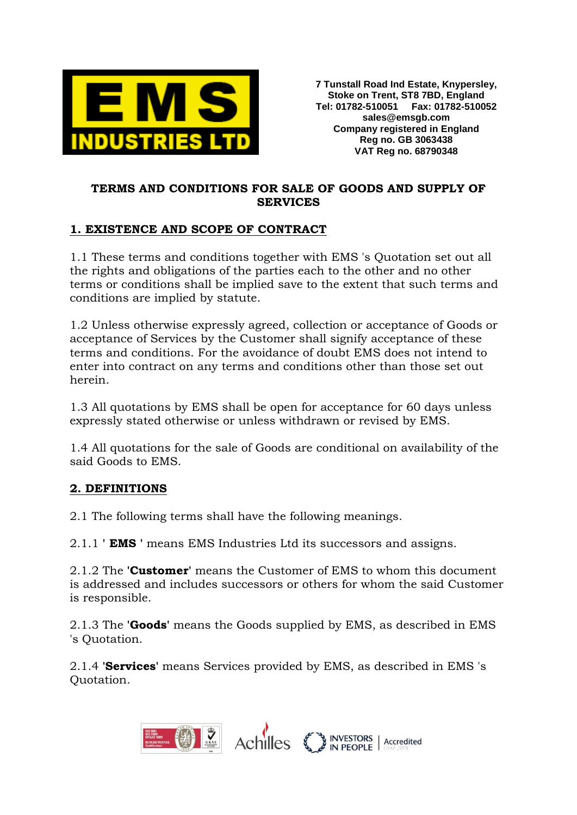

## **TERMS AND CONDITIONS FOR SALE OF GOODS AND SUPPLY OF SERVICES**

### **1. EXISTENCE AND SCOPE OF CONTRACT**

1.1 These terms and conditions together with EMS 's Quotation set out all the rights and obligations of the parties each to the other and no other terms or conditions shall be implied save to the extent that such terms and conditions are implied by statute.

1.2 Unless otherwise expressly agreed, collection or acceptance of Goods or acceptance of Services by the Customer shall signify acceptance of these terms and conditions. For the avoidance of doubt EMS does not intend to enter into contract on any terms and conditions other than those set out herein.

1.3 All quotations by EMS shall be open for acceptance for 60 days unless expressly stated otherwise or unless withdrawn or revised by EMS.

1.4 All quotations for the sale of Goods are conditional on availability of the said Goods to EMS.

### **2. DEFINITIONS**

2.1 The following terms shall have the following meanings.

2.1.1 **' EMS '** means EMS Industries Ltd its successors and assigns.

2.1.2 The **'Customer'** means the Customer of EMS to whom this document is addressed and includes successors or others for whom the said Customer is responsible.

2.1.3 The **'Goods'** means the Goods supplied by EMS, as described in EMS 's Quotation.

2.1.4 **'Services'** means Services provided by EMS, as described in EMS 's Quotation.

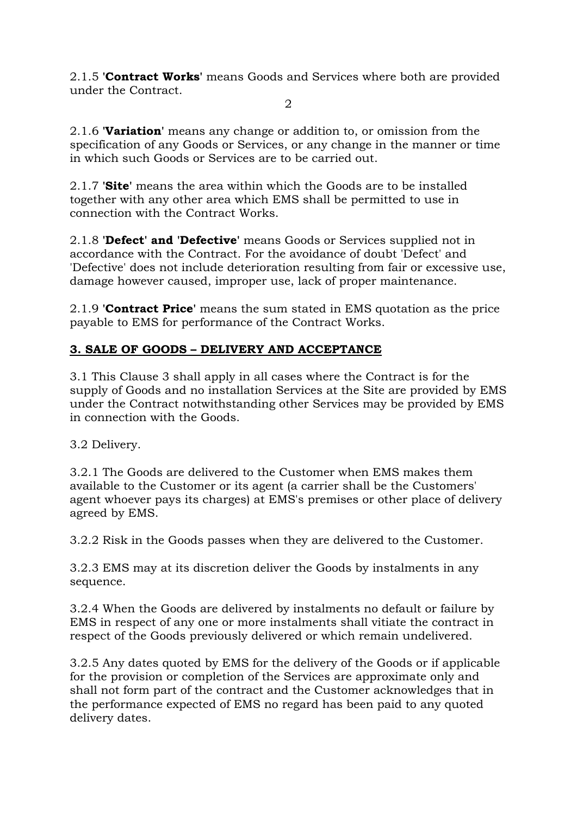2.1.5 **'Contract Works'** means Goods and Services where both are provided under the Contract.

 $\mathcal{D}_{\mathcal{L}}$ 

2.1.6 **'Variation'** means any change or addition to, or omission from the specification of any Goods or Services, or any change in the manner or time in which such Goods or Services are to be carried out.

2.1.7 **'Site'** means the area within which the Goods are to be installed together with any other area which EMS shall be permitted to use in connection with the Contract Works.

2.1.8 **'Defect' and 'Defective'** means Goods or Services supplied not in accordance with the Contract. For the avoidance of doubt 'Defect' and 'Defective' does not include deterioration resulting from fair or excessive use, damage however caused, improper use, lack of proper maintenance.

2.1.9 **'Contract Price'** means the sum stated in EMS quotation as the price payable to EMS for performance of the Contract Works.

# **3. SALE OF GOODS – DELIVERY AND ACCEPTANCE**

3.1 This Clause 3 shall apply in all cases where the Contract is for the supply of Goods and no installation Services at the Site are provided by EMS under the Contract notwithstanding other Services may be provided by EMS in connection with the Goods.

3.2 Delivery.

3.2.1 The Goods are delivered to the Customer when EMS makes them available to the Customer or its agent (a carrier shall be the Customers' agent whoever pays its charges) at EMS's premises or other place of delivery agreed by EMS.

3.2.2 Risk in the Goods passes when they are delivered to the Customer.

3.2.3 EMS may at its discretion deliver the Goods by instalments in any sequence.

3.2.4 When the Goods are delivered by instalments no default or failure by EMS in respect of any one or more instalments shall vitiate the contract in respect of the Goods previously delivered or which remain undelivered.

3.2.5 Any dates quoted by EMS for the delivery of the Goods or if applicable for the provision or completion of the Services are approximate only and shall not form part of the contract and the Customer acknowledges that in the performance expected of EMS no regard has been paid to any quoted delivery dates.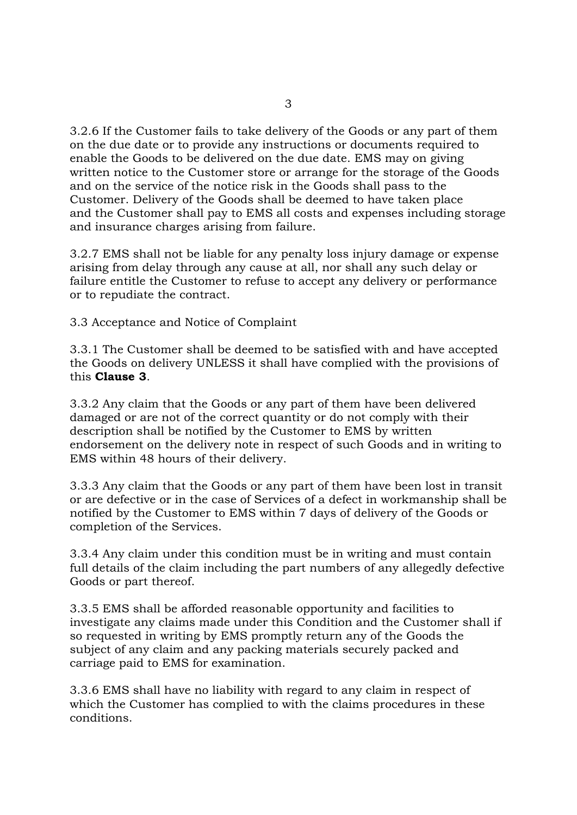3.2.6 If the Customer fails to take delivery of the Goods or any part of them on the due date or to provide any instructions or documents required to enable the Goods to be delivered on the due date. EMS may on giving written notice to the Customer store or arrange for the storage of the Goods and on the service of the notice risk in the Goods shall pass to the Customer. Delivery of the Goods shall be deemed to have taken place and the Customer shall pay to EMS all costs and expenses including storage and insurance charges arising from failure.

3.2.7 EMS shall not be liable for any penalty loss injury damage or expense arising from delay through any cause at all, nor shall any such delay or failure entitle the Customer to refuse to accept any delivery or performance or to repudiate the contract.

3.3 Acceptance and Notice of Complaint

3.3.1 The Customer shall be deemed to be satisfied with and have accepted the Goods on delivery UNLESS it shall have complied with the provisions of this **Clause 3**.

3.3.2 Any claim that the Goods or any part of them have been delivered damaged or are not of the correct quantity or do not comply with their description shall be notified by the Customer to EMS by written endorsement on the delivery note in respect of such Goods and in writing to EMS within 48 hours of their delivery.

3.3.3 Any claim that the Goods or any part of them have been lost in transit or are defective or in the case of Services of a defect in workmanship shall be notified by the Customer to EMS within 7 days of delivery of the Goods or completion of the Services.

3.3.4 Any claim under this condition must be in writing and must contain full details of the claim including the part numbers of any allegedly defective Goods or part thereof.

3.3.5 EMS shall be afforded reasonable opportunity and facilities to investigate any claims made under this Condition and the Customer shall if so requested in writing by EMS promptly return any of the Goods the subject of any claim and any packing materials securely packed and carriage paid to EMS for examination.

3.3.6 EMS shall have no liability with regard to any claim in respect of which the Customer has complied to with the claims procedures in these conditions.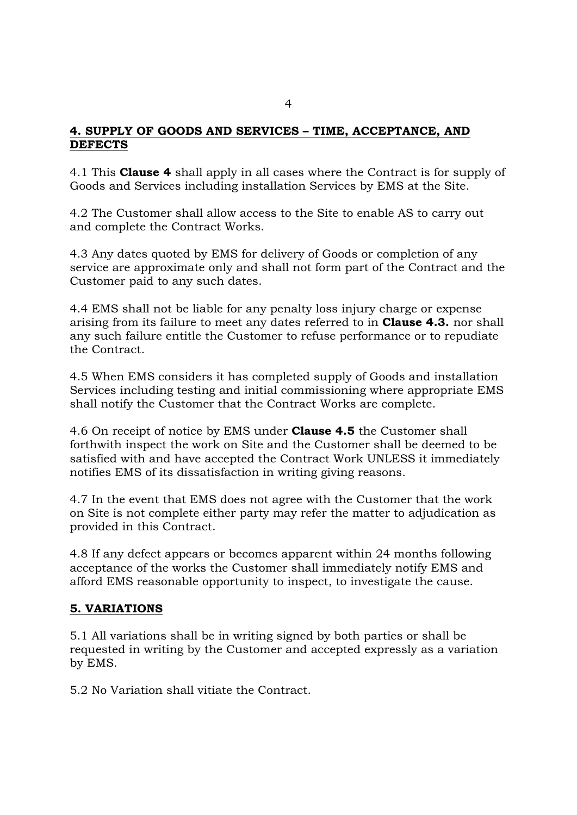### **4. SUPPLY OF GOODS AND SERVICES – TIME, ACCEPTANCE, AND DEFECTS**

4.1 This **Clause 4** shall apply in all cases where the Contract is for supply of Goods and Services including installation Services by EMS at the Site.

4.2 The Customer shall allow access to the Site to enable AS to carry out and complete the Contract Works.

4.3 Any dates quoted by EMS for delivery of Goods or completion of any service are approximate only and shall not form part of the Contract and the Customer paid to any such dates.

4.4 EMS shall not be liable for any penalty loss injury charge or expense arising from its failure to meet any dates referred to in **Clause 4.3.** nor shall any such failure entitle the Customer to refuse performance or to repudiate the Contract.

4.5 When EMS considers it has completed supply of Goods and installation Services including testing and initial commissioning where appropriate EMS shall notify the Customer that the Contract Works are complete.

4.6 On receipt of notice by EMS under **Clause 4.5** the Customer shall forthwith inspect the work on Site and the Customer shall be deemed to be satisfied with and have accepted the Contract Work UNLESS it immediately notifies EMS of its dissatisfaction in writing giving reasons.

4.7 In the event that EMS does not agree with the Customer that the work on Site is not complete either party may refer the matter to adjudication as provided in this Contract.

4.8 If any defect appears or becomes apparent within 24 months following acceptance of the works the Customer shall immediately notify EMS and afford EMS reasonable opportunity to inspect, to investigate the cause.

## **5. VARIATIONS**

5.1 All variations shall be in writing signed by both parties or shall be requested in writing by the Customer and accepted expressly as a variation by EMS.

5.2 No Variation shall vitiate the Contract.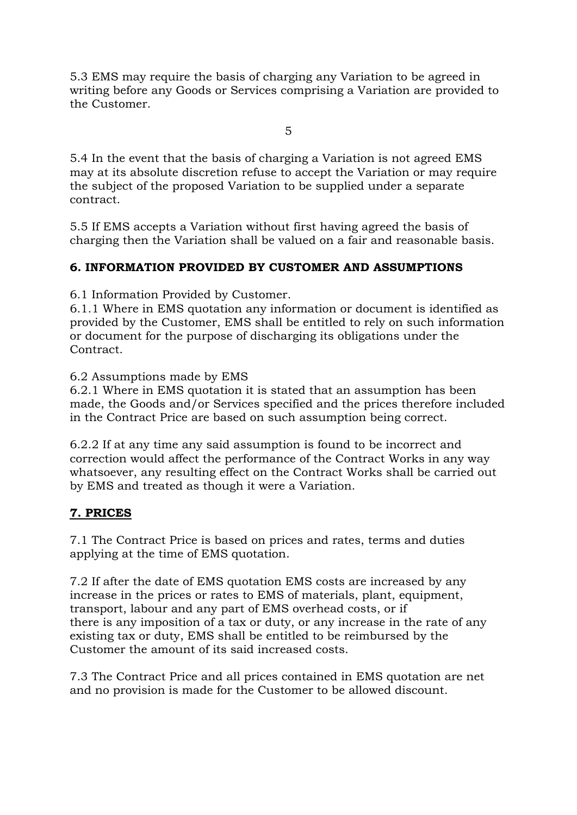5.3 EMS may require the basis of charging any Variation to be agreed in writing before any Goods or Services comprising a Variation are provided to the Customer.

5

5.4 In the event that the basis of charging a Variation is not agreed EMS may at its absolute discretion refuse to accept the Variation or may require the subject of the proposed Variation to be supplied under a separate contract.

5.5 If EMS accepts a Variation without first having agreed the basis of charging then the Variation shall be valued on a fair and reasonable basis.

## **6. INFORMATION PROVIDED BY CUSTOMER AND ASSUMPTIONS**

6.1 Information Provided by Customer.

6.1.1 Where in EMS quotation any information or document is identified as provided by the Customer, EMS shall be entitled to rely on such information or document for the purpose of discharging its obligations under the Contract.

6.2 Assumptions made by EMS

6.2.1 Where in EMS quotation it is stated that an assumption has been made, the Goods and/or Services specified and the prices therefore included in the Contract Price are based on such assumption being correct.

6.2.2 If at any time any said assumption is found to be incorrect and correction would affect the performance of the Contract Works in any way whatsoever, any resulting effect on the Contract Works shall be carried out by EMS and treated as though it were a Variation.

## **7. PRICES**

7.1 The Contract Price is based on prices and rates, terms and duties applying at the time of EMS quotation.

7.2 If after the date of EMS quotation EMS costs are increased by any increase in the prices or rates to EMS of materials, plant, equipment, transport, labour and any part of EMS overhead costs, or if there is any imposition of a tax or duty, or any increase in the rate of any existing tax or duty, EMS shall be entitled to be reimbursed by the Customer the amount of its said increased costs.

7.3 The Contract Price and all prices contained in EMS quotation are net and no provision is made for the Customer to be allowed discount.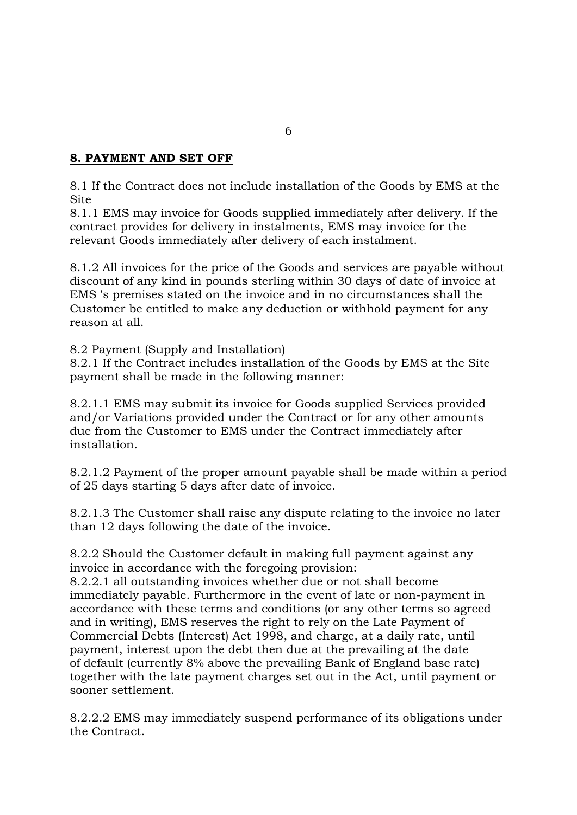### **8. PAYMENT AND SET OFF**

8.1 If the Contract does not include installation of the Goods by EMS at the **Site** 

8.1.1 EMS may invoice for Goods supplied immediately after delivery. If the contract provides for delivery in instalments, EMS may invoice for the relevant Goods immediately after delivery of each instalment.

8.1.2 All invoices for the price of the Goods and services are payable without discount of any kind in pounds sterling within 30 days of date of invoice at EMS 's premises stated on the invoice and in no circumstances shall the Customer be entitled to make any deduction or withhold payment for any reason at all.

8.2 Payment (Supply and Installation)

8.2.1 If the Contract includes installation of the Goods by EMS at the Site payment shall be made in the following manner:

8.2.1.1 EMS may submit its invoice for Goods supplied Services provided and/or Variations provided under the Contract or for any other amounts due from the Customer to EMS under the Contract immediately after installation.

8.2.1.2 Payment of the proper amount payable shall be made within a period of 25 days starting 5 days after date of invoice.

8.2.1.3 The Customer shall raise any dispute relating to the invoice no later than 12 days following the date of the invoice.

8.2.2 Should the Customer default in making full payment against any invoice in accordance with the foregoing provision:

8.2.2.1 all outstanding invoices whether due or not shall become immediately payable. Furthermore in the event of late or non-payment in accordance with these terms and conditions (or any other terms so agreed and in writing), EMS reserves the right to rely on the Late Payment of Commercial Debts (Interest) Act 1998, and charge, at a daily rate, until payment, interest upon the debt then due at the prevailing at the date of default (currently 8% above the prevailing Bank of England base rate) together with the late payment charges set out in the Act, until payment or sooner settlement.

8.2.2.2 EMS may immediately suspend performance of its obligations under the Contract.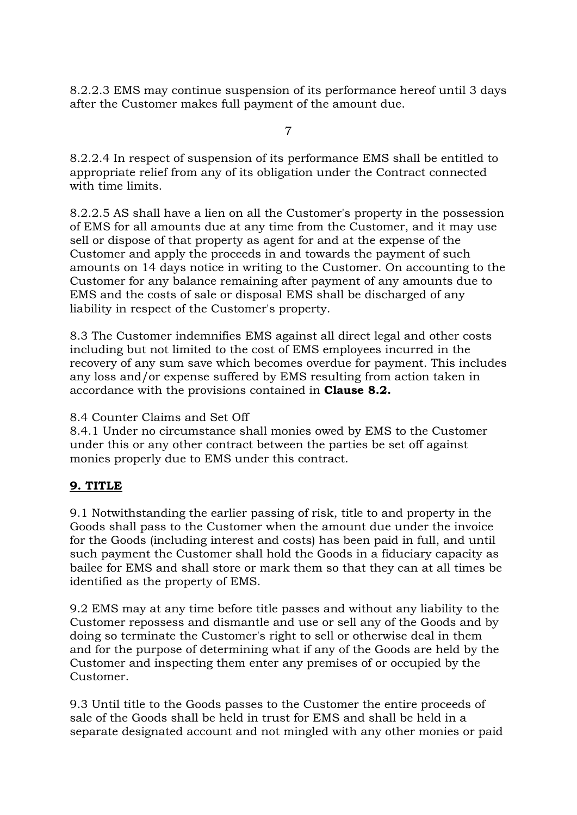8.2.2.3 EMS may continue suspension of its performance hereof until 3 days after the Customer makes full payment of the amount due.

7

8.2.2.4 In respect of suspension of its performance EMS shall be entitled to appropriate relief from any of its obligation under the Contract connected with time limits.

8.2.2.5 AS shall have a lien on all the Customer's property in the possession of EMS for all amounts due at any time from the Customer, and it may use sell or dispose of that property as agent for and at the expense of the Customer and apply the proceeds in and towards the payment of such amounts on 14 days notice in writing to the Customer. On accounting to the Customer for any balance remaining after payment of any amounts due to EMS and the costs of sale or disposal EMS shall be discharged of any liability in respect of the Customer's property.

8.3 The Customer indemnifies EMS against all direct legal and other costs including but not limited to the cost of EMS employees incurred in the recovery of any sum save which becomes overdue for payment. This includes any loss and/or expense suffered by EMS resulting from action taken in accordance with the provisions contained in **Clause 8.2.**

## 8.4 Counter Claims and Set Off

8.4.1 Under no circumstance shall monies owed by EMS to the Customer under this or any other contract between the parties be set off against monies properly due to EMS under this contract.

# **9. TITLE**

9.1 Notwithstanding the earlier passing of risk, title to and property in the Goods shall pass to the Customer when the amount due under the invoice for the Goods (including interest and costs) has been paid in full, and until such payment the Customer shall hold the Goods in a fiduciary capacity as bailee for EMS and shall store or mark them so that they can at all times be identified as the property of EMS.

9.2 EMS may at any time before title passes and without any liability to the Customer repossess and dismantle and use or sell any of the Goods and by doing so terminate the Customer's right to sell or otherwise deal in them and for the purpose of determining what if any of the Goods are held by the Customer and inspecting them enter any premises of or occupied by the Customer.

9.3 Until title to the Goods passes to the Customer the entire proceeds of sale of the Goods shall be held in trust for EMS and shall be held in a separate designated account and not mingled with any other monies or paid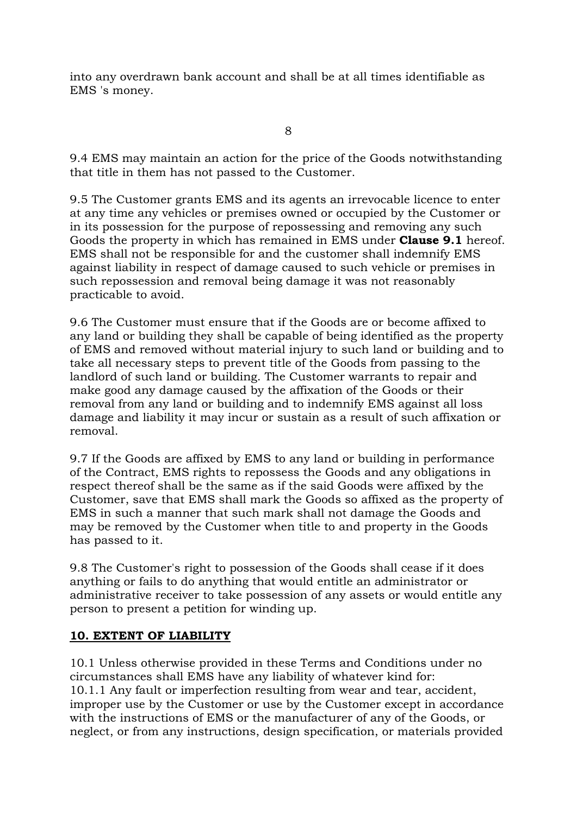into any overdrawn bank account and shall be at all times identifiable as EMS 's money.

8

9.4 EMS may maintain an action for the price of the Goods notwithstanding that title in them has not passed to the Customer.

9.5 The Customer grants EMS and its agents an irrevocable licence to enter at any time any vehicles or premises owned or occupied by the Customer or in its possession for the purpose of repossessing and removing any such Goods the property in which has remained in EMS under **Clause 9.1** hereof. EMS shall not be responsible for and the customer shall indemnify EMS against liability in respect of damage caused to such vehicle or premises in such repossession and removal being damage it was not reasonably practicable to avoid.

9.6 The Customer must ensure that if the Goods are or become affixed to any land or building they shall be capable of being identified as the property of EMS and removed without material injury to such land or building and to take all necessary steps to prevent title of the Goods from passing to the landlord of such land or building. The Customer warrants to repair and make good any damage caused by the affixation of the Goods or their removal from any land or building and to indemnify EMS against all loss damage and liability it may incur or sustain as a result of such affixation or removal.

9.7 If the Goods are affixed by EMS to any land or building in performance of the Contract, EMS rights to repossess the Goods and any obligations in respect thereof shall be the same as if the said Goods were affixed by the Customer, save that EMS shall mark the Goods so affixed as the property of EMS in such a manner that such mark shall not damage the Goods and may be removed by the Customer when title to and property in the Goods has passed to it.

9.8 The Customer's right to possession of the Goods shall cease if it does anything or fails to do anything that would entitle an administrator or administrative receiver to take possession of any assets or would entitle any person to present a petition for winding up.

## **10. EXTENT OF LIABILITY**

10.1 Unless otherwise provided in these Terms and Conditions under no circumstances shall EMS have any liability of whatever kind for: 10.1.1 Any fault or imperfection resulting from wear and tear, accident, improper use by the Customer or use by the Customer except in accordance with the instructions of EMS or the manufacturer of any of the Goods, or neglect, or from any instructions, design specification, or materials provided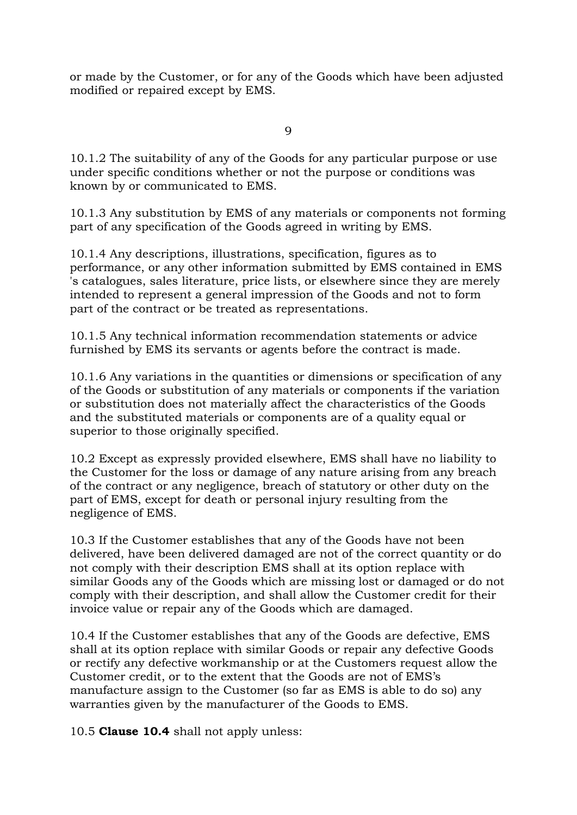or made by the Customer, or for any of the Goods which have been adjusted modified or repaired except by EMS.

 $\overline{Q}$ 

10.1.2 The suitability of any of the Goods for any particular purpose or use under specific conditions whether or not the purpose or conditions was known by or communicated to EMS.

10.1.3 Any substitution by EMS of any materials or components not forming part of any specification of the Goods agreed in writing by EMS.

10.1.4 Any descriptions, illustrations, specification, figures as to performance, or any other information submitted by EMS contained in EMS 's catalogues, sales literature, price lists, or elsewhere since they are merely intended to represent a general impression of the Goods and not to form part of the contract or be treated as representations.

10.1.5 Any technical information recommendation statements or advice furnished by EMS its servants or agents before the contract is made.

10.1.6 Any variations in the quantities or dimensions or specification of any of the Goods or substitution of any materials or components if the variation or substitution does not materially affect the characteristics of the Goods and the substituted materials or components are of a quality equal or superior to those originally specified.

10.2 Except as expressly provided elsewhere, EMS shall have no liability to the Customer for the loss or damage of any nature arising from any breach of the contract or any negligence, breach of statutory or other duty on the part of EMS, except for death or personal injury resulting from the negligence of EMS.

10.3 If the Customer establishes that any of the Goods have not been delivered, have been delivered damaged are not of the correct quantity or do not comply with their description EMS shall at its option replace with similar Goods any of the Goods which are missing lost or damaged or do not comply with their description, and shall allow the Customer credit for their invoice value or repair any of the Goods which are damaged.

10.4 If the Customer establishes that any of the Goods are defective, EMS shall at its option replace with similar Goods or repair any defective Goods or rectify any defective workmanship or at the Customers request allow the Customer credit, or to the extent that the Goods are not of EMS's manufacture assign to the Customer (so far as EMS is able to do so) any warranties given by the manufacturer of the Goods to EMS.

10.5 **Clause 10.4** shall not apply unless: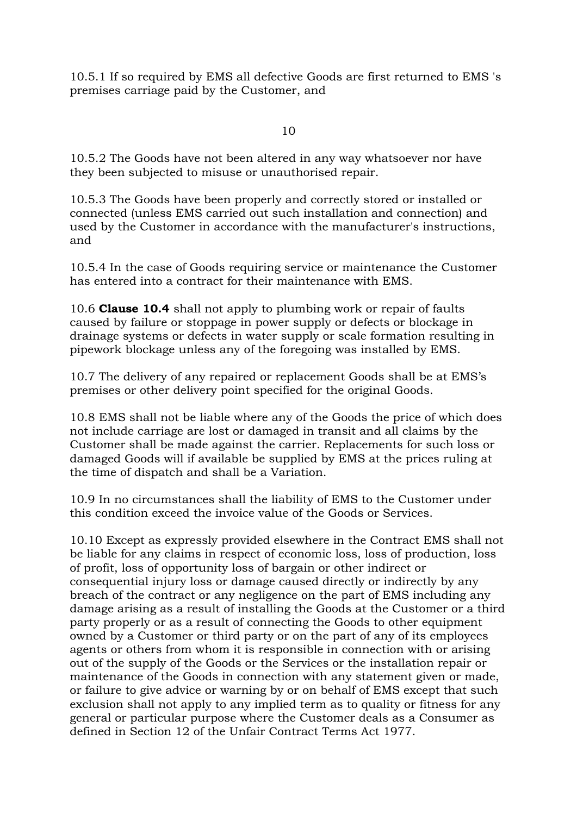10.5.1 If so required by EMS all defective Goods are first returned to EMS 's premises carriage paid by the Customer, and

10

10.5.2 The Goods have not been altered in any way whatsoever nor have they been subjected to misuse or unauthorised repair.

10.5.3 The Goods have been properly and correctly stored or installed or connected (unless EMS carried out such installation and connection) and used by the Customer in accordance with the manufacturer's instructions, and

10.5.4 In the case of Goods requiring service or maintenance the Customer has entered into a contract for their maintenance with EMS.

10.6 **Clause 10.4** shall not apply to plumbing work or repair of faults caused by failure or stoppage in power supply or defects or blockage in drainage systems or defects in water supply or scale formation resulting in pipework blockage unless any of the foregoing was installed by EMS.

10.7 The delivery of any repaired or replacement Goods shall be at EMS's premises or other delivery point specified for the original Goods.

10.8 EMS shall not be liable where any of the Goods the price of which does not include carriage are lost or damaged in transit and all claims by the Customer shall be made against the carrier. Replacements for such loss or damaged Goods will if available be supplied by EMS at the prices ruling at the time of dispatch and shall be a Variation.

10.9 In no circumstances shall the liability of EMS to the Customer under this condition exceed the invoice value of the Goods or Services.

10.10 Except as expressly provided elsewhere in the Contract EMS shall not be liable for any claims in respect of economic loss, loss of production, loss of profit, loss of opportunity loss of bargain or other indirect or consequential injury loss or damage caused directly or indirectly by any breach of the contract or any negligence on the part of EMS including any damage arising as a result of installing the Goods at the Customer or a third party properly or as a result of connecting the Goods to other equipment owned by a Customer or third party or on the part of any of its employees agents or others from whom it is responsible in connection with or arising out of the supply of the Goods or the Services or the installation repair or maintenance of the Goods in connection with any statement given or made, or failure to give advice or warning by or on behalf of EMS except that such exclusion shall not apply to any implied term as to quality or fitness for any general or particular purpose where the Customer deals as a Consumer as defined in Section 12 of the Unfair Contract Terms Act 1977.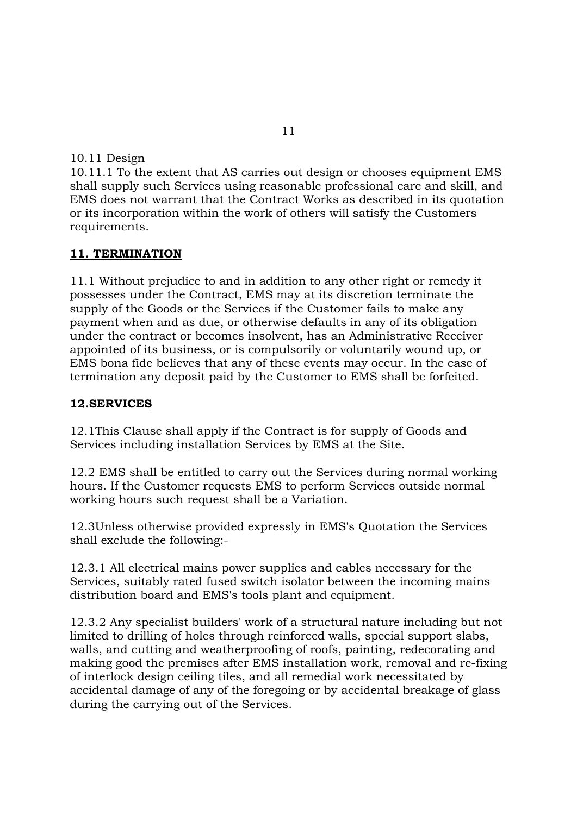10.11 Design

10.11.1 To the extent that AS carries out design or chooses equipment EMS shall supply such Services using reasonable professional care and skill, and EMS does not warrant that the Contract Works as described in its quotation or its incorporation within the work of others will satisfy the Customers requirements.

### **11. TERMINATION**

11.1 Without prejudice to and in addition to any other right or remedy it possesses under the Contract, EMS may at its discretion terminate the supply of the Goods or the Services if the Customer fails to make any payment when and as due, or otherwise defaults in any of its obligation under the contract or becomes insolvent, has an Administrative Receiver appointed of its business, or is compulsorily or voluntarily wound up, or EMS bona fide believes that any of these events may occur. In the case of termination any deposit paid by the Customer to EMS shall be forfeited.

#### **12.SERVICES**

12.1This Clause shall apply if the Contract is for supply of Goods and Services including installation Services by EMS at the Site.

12.2 EMS shall be entitled to carry out the Services during normal working hours. If the Customer requests EMS to perform Services outside normal working hours such request shall be a Variation.

12.3Unless otherwise provided expressly in EMS's Quotation the Services shall exclude the following:-

12.3.1 All electrical mains power supplies and cables necessary for the Services, suitably rated fused switch isolator between the incoming mains distribution board and EMS's tools plant and equipment.

12.3.2 Any specialist builders' work of a structural nature including but not limited to drilling of holes through reinforced walls, special support slabs, walls, and cutting and weatherproofing of roofs, painting, redecorating and making good the premises after EMS installation work, removal and re-fixing of interlock design ceiling tiles, and all remedial work necessitated by accidental damage of any of the foregoing or by accidental breakage of glass during the carrying out of the Services.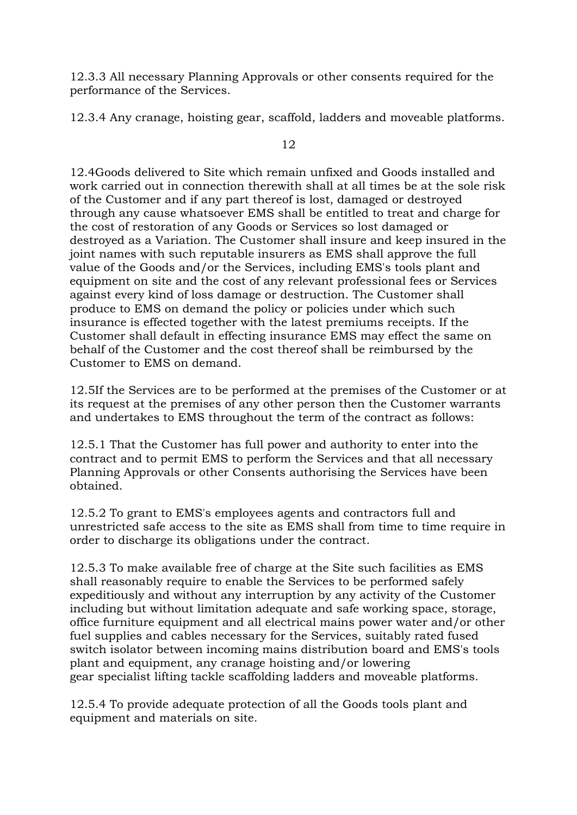12.3.3 All necessary Planning Approvals or other consents required for the performance of the Services.

12.3.4 Any cranage, hoisting gear, scaffold, ladders and moveable platforms.

12

12.4Goods delivered to Site which remain unfixed and Goods installed and work carried out in connection therewith shall at all times be at the sole risk of the Customer and if any part thereof is lost, damaged or destroyed through any cause whatsoever EMS shall be entitled to treat and charge for the cost of restoration of any Goods or Services so lost damaged or destroyed as a Variation. The Customer shall insure and keep insured in the joint names with such reputable insurers as EMS shall approve the full value of the Goods and/or the Services, including EMS's tools plant and equipment on site and the cost of any relevant professional fees or Services against every kind of loss damage or destruction. The Customer shall produce to EMS on demand the policy or policies under which such insurance is effected together with the latest premiums receipts. If the Customer shall default in effecting insurance EMS may effect the same on behalf of the Customer and the cost thereof shall be reimbursed by the Customer to EMS on demand.

12.5If the Services are to be performed at the premises of the Customer or at its request at the premises of any other person then the Customer warrants and undertakes to EMS throughout the term of the contract as follows:

12.5.1 That the Customer has full power and authority to enter into the contract and to permit EMS to perform the Services and that all necessary Planning Approvals or other Consents authorising the Services have been obtained.

12.5.2 To grant to EMS's employees agents and contractors full and unrestricted safe access to the site as EMS shall from time to time require in order to discharge its obligations under the contract.

12.5.3 To make available free of charge at the Site such facilities as EMS shall reasonably require to enable the Services to be performed safely expeditiously and without any interruption by any activity of the Customer including but without limitation adequate and safe working space, storage, office furniture equipment and all electrical mains power water and/or other fuel supplies and cables necessary for the Services, suitably rated fused switch isolator between incoming mains distribution board and EMS's tools plant and equipment, any cranage hoisting and/or lowering gear specialist lifting tackle scaffolding ladders and moveable platforms.

12.5.4 To provide adequate protection of all the Goods tools plant and equipment and materials on site.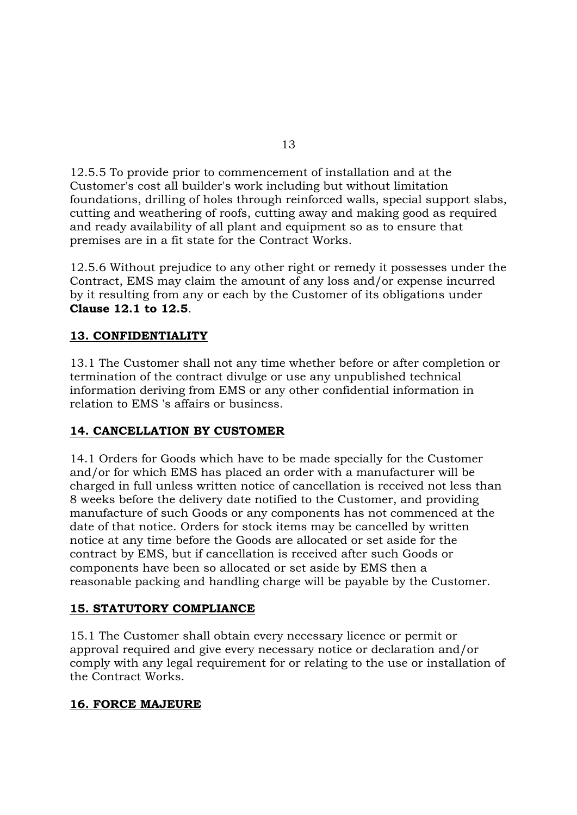12.5.5 To provide prior to commencement of installation and at the Customer's cost all builder's work including but without limitation foundations, drilling of holes through reinforced walls, special support slabs, cutting and weathering of roofs, cutting away and making good as required and ready availability of all plant and equipment so as to ensure that premises are in a fit state for the Contract Works.

12.5.6 Without prejudice to any other right or remedy it possesses under the Contract, EMS may claim the amount of any loss and/or expense incurred by it resulting from any or each by the Customer of its obligations under **Clause 12.1 to 12.5**.

## **13. CONFIDENTIALITY**

13.1 The Customer shall not any time whether before or after completion or termination of the contract divulge or use any unpublished technical information deriving from EMS or any other confidential information in relation to EMS 's affairs or business.

## **14. CANCELLATION BY CUSTOMER**

14.1 Orders for Goods which have to be made specially for the Customer and/or for which EMS has placed an order with a manufacturer will be charged in full unless written notice of cancellation is received not less than 8 weeks before the delivery date notified to the Customer, and providing manufacture of such Goods or any components has not commenced at the date of that notice. Orders for stock items may be cancelled by written notice at any time before the Goods are allocated or set aside for the contract by EMS, but if cancellation is received after such Goods or components have been so allocated or set aside by EMS then a reasonable packing and handling charge will be payable by the Customer.

## **15. STATUTORY COMPLIANCE**

15.1 The Customer shall obtain every necessary licence or permit or approval required and give every necessary notice or declaration and/or comply with any legal requirement for or relating to the use or installation of the Contract Works.

## **16. FORCE MAJEURE**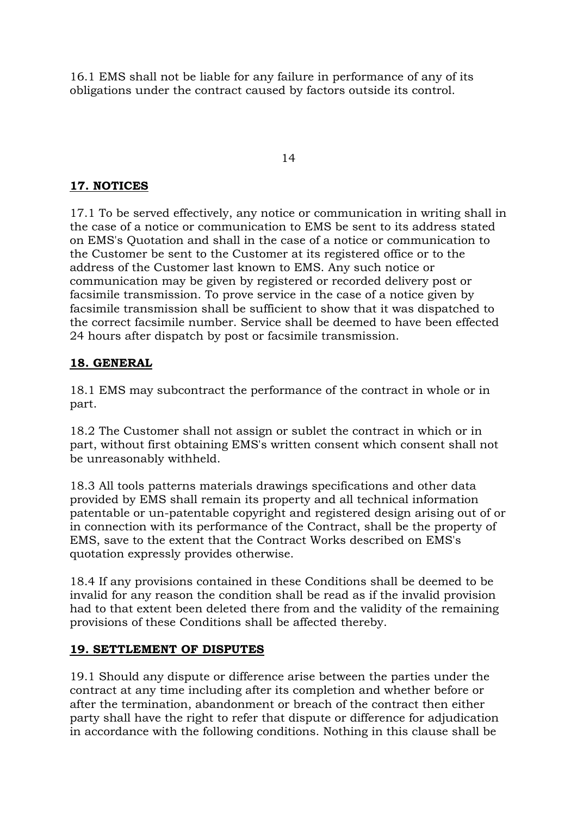16.1 EMS shall not be liable for any failure in performance of any of its obligations under the contract caused by factors outside its control.

### 14

### **17. NOTICES**

17.1 To be served effectively, any notice or communication in writing shall in the case of a notice or communication to EMS be sent to its address stated on EMS's Quotation and shall in the case of a notice or communication to the Customer be sent to the Customer at its registered office or to the address of the Customer last known to EMS. Any such notice or communication may be given by registered or recorded delivery post or facsimile transmission. To prove service in the case of a notice given by facsimile transmission shall be sufficient to show that it was dispatched to the correct facsimile number. Service shall be deemed to have been effected 24 hours after dispatch by post or facsimile transmission.

### **18. GENERAL**

18.1 EMS may subcontract the performance of the contract in whole or in part.

18.2 The Customer shall not assign or sublet the contract in which or in part, without first obtaining EMS's written consent which consent shall not be unreasonably withheld.

18.3 All tools patterns materials drawings specifications and other data provided by EMS shall remain its property and all technical information patentable or un-patentable copyright and registered design arising out of or in connection with its performance of the Contract, shall be the property of EMS, save to the extent that the Contract Works described on EMS's quotation expressly provides otherwise.

18.4 If any provisions contained in these Conditions shall be deemed to be invalid for any reason the condition shall be read as if the invalid provision had to that extent been deleted there from and the validity of the remaining provisions of these Conditions shall be affected thereby.

### **19. SETTLEMENT OF DISPUTES**

19.1 Should any dispute or difference arise between the parties under the contract at any time including after its completion and whether before or after the termination, abandonment or breach of the contract then either party shall have the right to refer that dispute or difference for adjudication in accordance with the following conditions. Nothing in this clause shall be